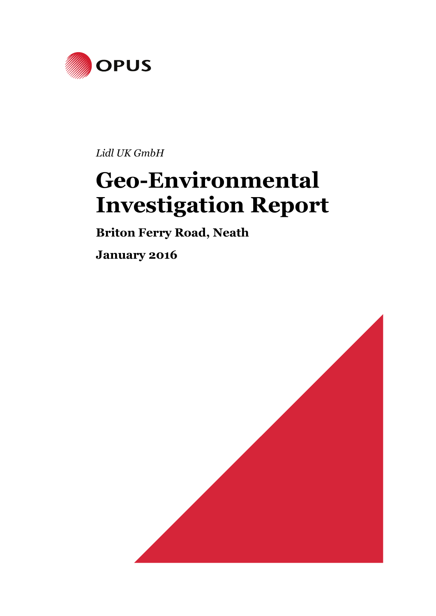

*Lidl UK GmbH*

# **Geo-Environmental Investigation Report**

**Briton Ferry Road, Neath** 

**January 2016** 

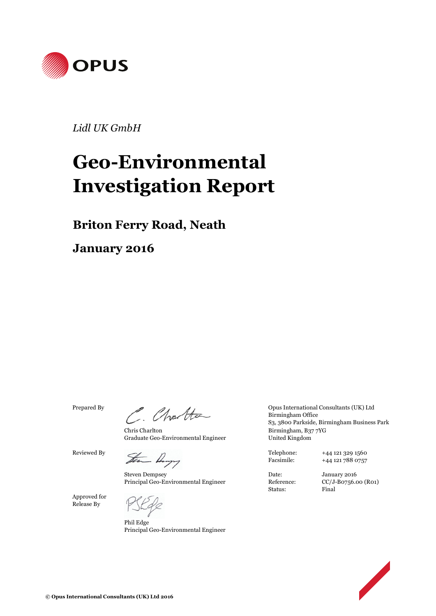

*Lidl UK GmbH*

# **Geo-Environmental Investigation Report**

**Briton Ferry Road, Neath**

**January 2016** 

Chris Charlton Graduate Geo-Environmental Engineer

Reviewed By<br>  $\frac{1}{2}$   $\frac{1}{2}$   $\frac{1}{2}$   $\frac{1}{2}$   $\frac{1}{2}$   $\frac{1}{2}$   $\frac{1}{2}$   $\frac{1}{2}$   $\frac{1}{2}$   $\frac{1}{2}$   $\frac{1}{2}$   $\frac{1}{2}$   $\frac{1}{2}$   $\frac{1}{2}$   $\frac{1}{2}$   $\frac{1}{2}$   $\frac{1}{2}$   $\frac{1}{2}$   $\frac{1}{2}$   $\frac{1}{2}$   $\frac{1}{2}$ 

Steven Dempsey Principal Geo-Environmental Engineer

Approved for Release By

Phil Edge Principal Geo-Environmental Engineer

Prepared By<br>
Charles Charles Burmingham Office<br>
So also Barkida Burmingham Pusinese Birmingham Office S3, 3800 Parkside, Birmingham Business Park Birmingham, B37 7YG United Kingdom

Facsimile: +44 121 788 0757

Status: Final

Date: January 2016 Reference: CC/J-B0756.00 (R01)

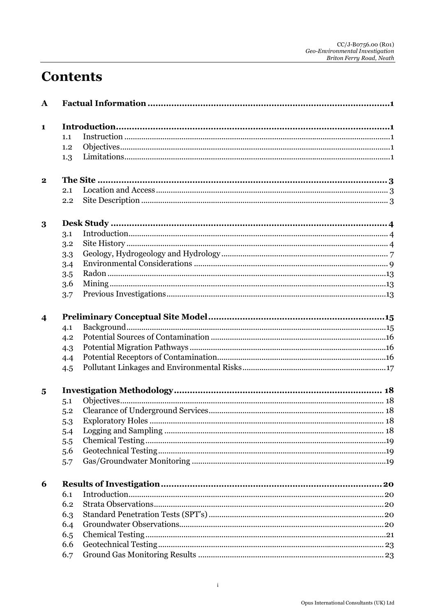# **Contents**

| $\mathbf{A}$            |     |  |
|-------------------------|-----|--|
| 1                       |     |  |
|                         | 1.1 |  |
|                         | 1.2 |  |
|                         | 1.3 |  |
| $\mathbf{2}$            |     |  |
|                         | 2.1 |  |
|                         | 2.2 |  |
| 3                       |     |  |
|                         | 3.1 |  |
|                         | 3.2 |  |
|                         | 3.3 |  |
|                         | 3.4 |  |
|                         | 3.5 |  |
|                         | 3.6 |  |
|                         | 3.7 |  |
| $\overline{\mathbf{4}}$ |     |  |
|                         | 4.1 |  |
|                         | 4.2 |  |
|                         | 4.3 |  |
|                         | 4.4 |  |
|                         | 4.5 |  |
| $\overline{5}$          |     |  |
|                         | 5.1 |  |
|                         | 5.2 |  |
|                         | 5.3 |  |
|                         | 5.4 |  |
|                         | 5.5 |  |
|                         | 5.6 |  |
|                         | 5.7 |  |
| 6                       |     |  |
|                         | 6.1 |  |
|                         | 6.2 |  |
|                         | 6.3 |  |
|                         | 6.4 |  |
|                         | 6.5 |  |
|                         | 6.6 |  |
|                         | 6.7 |  |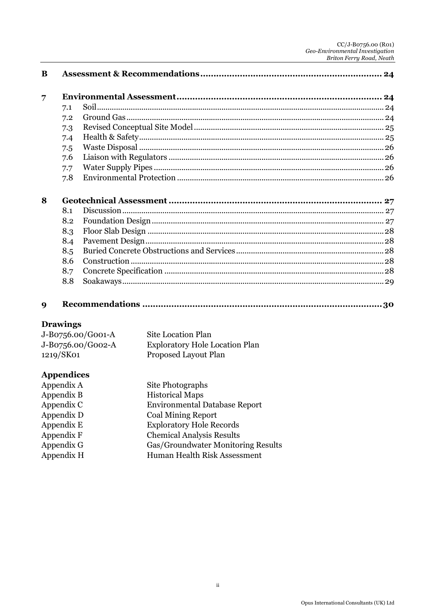# CC/J-B0756.00 (R01)<br>Geo-Environmental Investigation<br>Briton Ferry Road, Neath

| $\overline{7}$ |     |  |
|----------------|-----|--|
|                | 7.1 |  |
|                | 7.2 |  |
|                | 7.3 |  |
|                | 7.4 |  |
|                | 7.5 |  |
|                | 7.6 |  |
|                | 7.7 |  |
|                | 7.8 |  |
|                |     |  |
| 8              |     |  |
|                | 8.1 |  |
|                | 8.2 |  |
|                | 8.3 |  |
|                | 8.4 |  |
|                | 8.5 |  |
|                | 8.6 |  |
|                | 8.7 |  |

#### **Drawings**

| J-B0756.00/G001-A | Site Location Plan                    |
|-------------------|---------------------------------------|
| J-B0756.00/G002-A | <b>Exploratory Hole Location Plan</b> |
| 1219/SK01         | Proposed Layout Plan                  |

### **Appendices**

| Appendix A | Site Photographs                     |
|------------|--------------------------------------|
| Appendix B | <b>Historical Maps</b>               |
| Appendix C | <b>Environmental Database Report</b> |
| Appendix D | <b>Coal Mining Report</b>            |
| Appendix E | <b>Exploratory Hole Records</b>      |
| Appendix F | <b>Chemical Analysis Results</b>     |
| Appendix G | Gas/Groundwater Monitoring Results   |
| Appendix H | Human Health Risk Assessment         |
|            |                                      |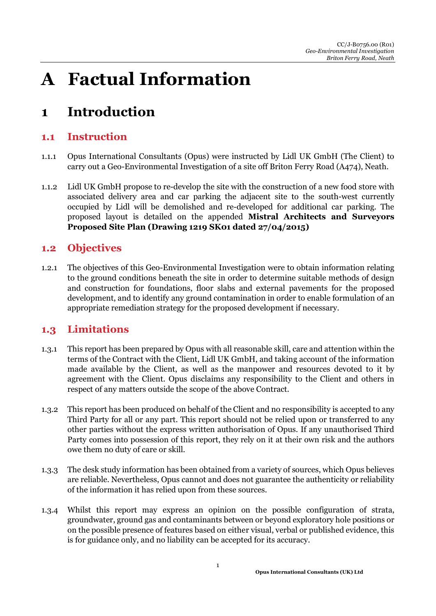# **A Factual Information**

# **1 Introduction**

### **1.1 Instruction**

- 1.1.1 Opus International Consultants (Opus) were instructed by Lidl UK GmbH (The Client) to carry out a Geo-Environmental Investigation of a site off Briton Ferry Road (A474), Neath.
- 1.1.2 Lidl UK GmbH propose to re-develop the site with the construction of a new food store with associated delivery area and car parking the adjacent site to the south-west currently occupied by Lidl will be demolished and re-developed for additional car parking. The proposed layout is detailed on the appended **Mistral Architects and Surveyors Proposed Site Plan (Drawing 1219 SK01 dated 27/04/2015)**

### **1.2 Objectives**

1.2.1 The objectives of this Geo-Environmental Investigation were to obtain information relating to the ground conditions beneath the site in order to determine suitable methods of design and construction for foundations, floor slabs and external pavements for the proposed development, and to identify any ground contamination in order to enable formulation of an appropriate remediation strategy for the proposed development if necessary.

### **1.3 Limitations**

- 1.3.1 This report has been prepared by Opus with all reasonable skill, care and attention within the terms of the Contract with the Client, Lidl UK GmbH, and taking account of the information made available by the Client, as well as the manpower and resources devoted to it by agreement with the Client. Opus disclaims any responsibility to the Client and others in respect of any matters outside the scope of the above Contract.
- 1.3.2 This report has been produced on behalf of the Client and no responsibility is accepted to any Third Party for all or any part. This report should not be relied upon or transferred to any other parties without the express written authorisation of Opus. If any unauthorised Third Party comes into possession of this report, they rely on it at their own risk and the authors owe them no duty of care or skill.
- 1.3.3 The desk study information has been obtained from a variety of sources, which Opus believes are reliable. Nevertheless, Opus cannot and does not guarantee the authenticity or reliability of the information it has relied upon from these sources.
- 1.3.4 Whilst this report may express an opinion on the possible configuration of strata, groundwater, ground gas and contaminants between or beyond exploratory hole positions or on the possible presence of features based on either visual, verbal or published evidence, this is for guidance only, and no liability can be accepted for its accuracy.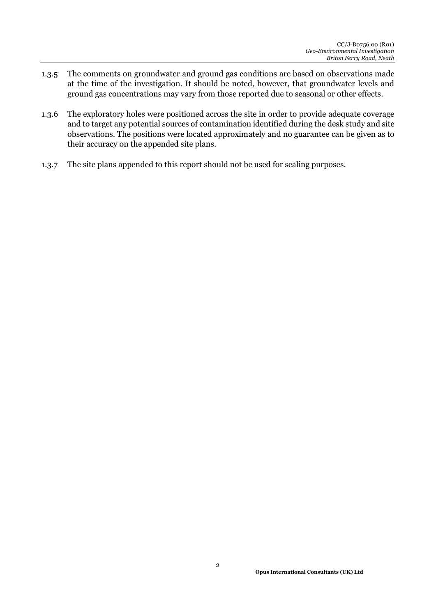- 1.3.5 The comments on groundwater and ground gas conditions are based on observations made at the time of the investigation. It should be noted, however, that groundwater levels and ground gas concentrations may vary from those reported due to seasonal or other effects.
- 1.3.6 The exploratory holes were positioned across the site in order to provide adequate coverage and to target any potential sources of contamination identified during the desk study and site observations. The positions were located approximately and no guarantee can be given as to their accuracy on the appended site plans.
- 1.3.7 The site plans appended to this report should not be used for scaling purposes.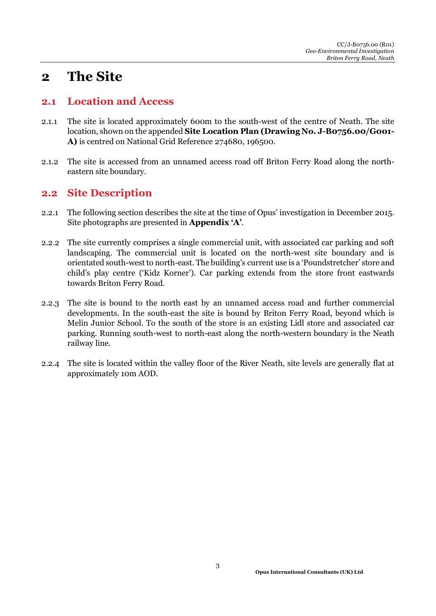## **2 The Site**

#### **2.1 Location and Access**

- 2.1.1 The site is located approximately 600m to the south-west of the centre of Neath. The site location, shown on the appended **Site Location Plan (Drawing No. J-B0756.00/G001- A)** is centred on National Grid Reference 274680, 196500.
- 2.1.2 The site is accessed from an unnamed access road off Briton Ferry Road along the northeastern site boundary.

### **2.2 Site Description**

- 2.2.1 The following section describes the site at the time of Opus' investigation in December 2015. Site photographs are presented in **Appendix 'A'**.
- 2.2.2 The site currently comprises a single commercial unit, with associated car parking and soft landscaping. The commercial unit is located on the north-west site boundary and is orientated south-west to north-east. The building's current use is a 'Poundstretcher' store and child's play centre ('Kidz Korner'). Car parking extends from the store front eastwards towards Briton Ferry Road.
- 2.2.3 The site is bound to the north east by an unnamed access road and further commercial developments. In the south-east the site is bound by Briton Ferry Road, beyond which is Melin Junior School. To the south of the store is an existing Lidl store and associated car parking. Running south-west to north-east along the north-western boundary is the Neath railway line.
- 2.2.4 The site is located within the valley floor of the River Neath, site levels are generally flat at approximately 10m AOD.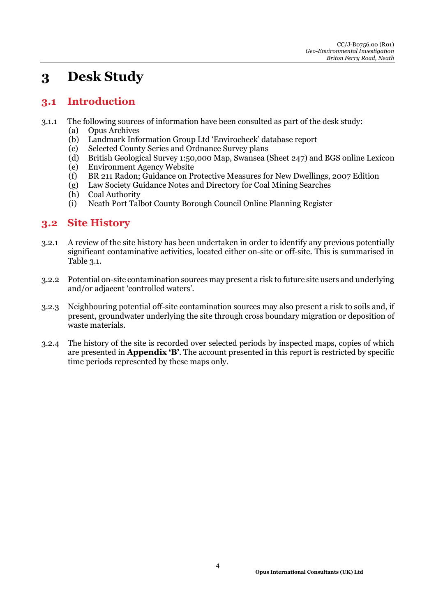## **3 Desk Study**

### **3.1 Introduction**

- 3.1.1 The following sources of information have been consulted as part of the desk study:
	- (a) Opus Archives
	- (b) Landmark Information Group Ltd 'Envirocheck' database report
	- (c) Selected County Series and Ordnance Survey plans
	- (d) British Geological Survey 1:50,000 Map, Swansea (Sheet 247) and BGS online Lexicon
	- (e) Environment Agency Website
	- (f) BR 211 Radon; Guidance on Protective Measures for New Dwellings, 2007 Edition
	- (g) Law Society Guidance Notes and Directory for Coal Mining Searches
	- (h) Coal Authority
	- (i) Neath Port Talbot County Borough Council Online Planning Register

#### **3.2 Site History**

- 3.2.1 A review of the site history has been undertaken in order to identify any previous potentially significant contaminative activities, located either on-site or off-site. This is summarised in Table 3.1.
- 3.2.2 Potential on-site contamination sources may present a risk to future site users and underlying and/or adjacent 'controlled waters'.
- 3.2.3 Neighbouring potential off-site contamination sources may also present a risk to soils and, if present, groundwater underlying the site through cross boundary migration or deposition of waste materials.
- 3.2.4 The history of the site is recorded over selected periods by inspected maps, copies of which are presented in **Appendix 'B'**. The account presented in this report is restricted by specific time periods represented by these maps only.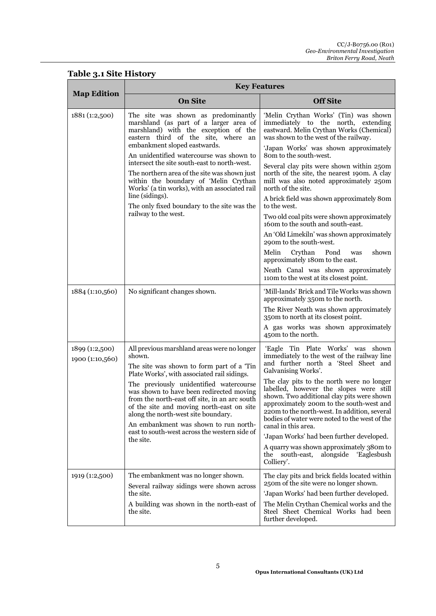### **Table 3.1 Site History**

| <b>Map Edition</b>                | <b>Key Features</b>                                                                                                                                                                                                                                               |                                                                                                                                                                                                                                                                                                        |  |  |
|-----------------------------------|-------------------------------------------------------------------------------------------------------------------------------------------------------------------------------------------------------------------------------------------------------------------|--------------------------------------------------------------------------------------------------------------------------------------------------------------------------------------------------------------------------------------------------------------------------------------------------------|--|--|
|                                   | <b>On Site</b>                                                                                                                                                                                                                                                    | <b>Off Site</b>                                                                                                                                                                                                                                                                                        |  |  |
| 1881 (1:2,500)                    | The site was shown as predominantly<br>marshland (as part of a larger area of<br>marshland) with the exception of the<br>eastern third of the site, where an                                                                                                      | 'Melin Crythan Works' (Tin) was shown<br>immediately to the north, extending<br>eastward. Melin Crythan Works (Chemical)<br>was shown to the west of the railway.                                                                                                                                      |  |  |
|                                   | embankment sloped eastwards.<br>An unidentified watercourse was shown to                                                                                                                                                                                          | 'Japan Works' was shown approximately<br>80m to the south-west.                                                                                                                                                                                                                                        |  |  |
|                                   | intersect the site south-east to north-west.<br>The northern area of the site was shown just<br>within the boundary of 'Melin Crythan<br>Works' (a tin works), with an associated rail                                                                            | Several clay pits were shown within 250m<br>north of the site, the nearest 190m. A clay<br>mill was also noted approximately 250m<br>north of the site.                                                                                                                                                |  |  |
|                                   | line (sidings).<br>The only fixed boundary to the site was the                                                                                                                                                                                                    | A brick field was shown approximately 80m<br>to the west.                                                                                                                                                                                                                                              |  |  |
|                                   | railway to the west.                                                                                                                                                                                                                                              | Two old coal pits were shown approximately<br>160m to the south and south-east.                                                                                                                                                                                                                        |  |  |
|                                   |                                                                                                                                                                                                                                                                   | An 'Old Limekiln' was shown approximately<br>290m to the south-west.                                                                                                                                                                                                                                   |  |  |
|                                   |                                                                                                                                                                                                                                                                   | Crythan<br>shown<br>Melin<br>Pond<br>was<br>approximately 180m to the east.                                                                                                                                                                                                                            |  |  |
|                                   |                                                                                                                                                                                                                                                                   | Neath Canal was shown approximately<br>110m to the west at its closest point.                                                                                                                                                                                                                          |  |  |
| 1884 (1:10,560)                   | No significant changes shown.                                                                                                                                                                                                                                     | 'Mill-lands' Brick and Tile Works was shown<br>approximately 350m to the north.<br>The River Neath was shown approximately<br>350m to north at its closest point.<br>A gas works was shown approximately<br>450m to the north.                                                                         |  |  |
| 1899 (1:2,500)<br>1900 (1:10,560) | All previous marshland areas were no longer<br>shown.<br>The site was shown to form part of a 'Tin<br>Plate Works', with associated rail sidings.                                                                                                                 | 'Eagle Tin Plate Works' was shown<br>immediately to the west of the railway line<br>and further north a 'Steel Sheet and<br>Galvanising Works'.                                                                                                                                                        |  |  |
|                                   | The previously unidentified watercourse<br>was shown to have been redirected moving<br>from the north-east off site, in an arc south<br>of the site and moving north-east on site<br>along the north-west site boundary.<br>An embankment was shown to run north- | The clay pits to the north were no longer<br>labelled, however the slopes were still<br>shown. Two additional clay pits were shown<br>approximately 200m to the south-west and<br>220m to the north-west. In addition, several<br>bodies of water were noted to the west of the<br>canal in this area. |  |  |
|                                   | east to south-west across the western side of<br>the site.                                                                                                                                                                                                        | 'Japan Works' had been further developed.                                                                                                                                                                                                                                                              |  |  |
|                                   |                                                                                                                                                                                                                                                                   | A quarry was shown approximately 380m to<br>alongside<br>'Eaglesbush<br>the<br>south-east,<br>Colliery'.                                                                                                                                                                                               |  |  |
| 1919 (1:2,500)                    | The embankment was no longer shown.<br>Several railway sidings were shown across<br>the site.<br>A building was shown in the north-east of                                                                                                                        | The clay pits and brick fields located within<br>250m of the site were no longer shown.<br>'Japan Works' had been further developed.<br>The Melin Crythan Chemical works and the                                                                                                                       |  |  |
|                                   | the site.                                                                                                                                                                                                                                                         | Steel Sheet Chemical Works had been<br>further developed.                                                                                                                                                                                                                                              |  |  |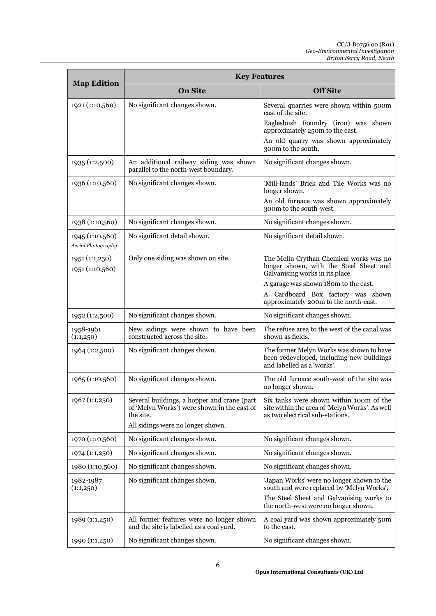| <b>Map Edition</b>                    | <b>Key Features</b>                                                                                                                          |                                                                                                                                                                                                                                            |  |  |
|---------------------------------------|----------------------------------------------------------------------------------------------------------------------------------------------|--------------------------------------------------------------------------------------------------------------------------------------------------------------------------------------------------------------------------------------------|--|--|
|                                       | <b>On Site</b>                                                                                                                               | <b>Off Site</b>                                                                                                                                                                                                                            |  |  |
| 1921 (1:10,560)                       | No significant changes shown.                                                                                                                | Several quarries were shown within 500m<br>east of the site.<br>Eaglesbush Foundry (iron) was shown<br>approximately 250m to the east.<br>An old quarry was shown approximately<br>300m to the south.                                      |  |  |
| 1935 (1:2,500)                        | An additional railway siding was shown<br>parallel to the north-west boundary.                                                               | No significant changes shown.                                                                                                                                                                                                              |  |  |
| 1936 (1:10,560)                       | No significant changes shown.                                                                                                                | 'Mill-lands' Brick and Tile Works was no<br>longer shown.<br>An old furnace was shown approximately<br>300m to the south-west.                                                                                                             |  |  |
| 1938 (1:10,560)                       | No significant changes shown.                                                                                                                | No significant changes shown.                                                                                                                                                                                                              |  |  |
| 1945 (1:10,560)<br>Aerial Photography | No significant detail shown.                                                                                                                 | No significant detail shown.                                                                                                                                                                                                               |  |  |
| 1951 (1:1,250)<br>1951 (1:10,560)     | Only one siding was shown on site.                                                                                                           | The Melin Crythan Chemical works was no<br>longer shown, with the Steel Sheet and<br>Galvanising works in its place.<br>A garage was shown 180m to the east.<br>A Cardboard Box factory was shown<br>approximately 200m to the north-east. |  |  |
| 1952 (1:2,500)                        | No significant changes shown.                                                                                                                | No significant changes shown.                                                                                                                                                                                                              |  |  |
| 1958-1961<br>(1:1,250)                | New sidings were shown to have been<br>constructed across the site.                                                                          | The refuse area to the west of the canal was<br>shown as fields.                                                                                                                                                                           |  |  |
| 1964 (1:2,500)                        | No significant changes shown.                                                                                                                | The former Melyn Works was shown to have<br>been redeveloped, including new buildings<br>and labelled as a 'works'.                                                                                                                        |  |  |
| 1965 (1:10,560)                       | No significant changes shown.                                                                                                                | The old furnace south-west of the site was<br>no longer shown.                                                                                                                                                                             |  |  |
| 1967 (1:1,250)                        | Several buildings, a hopper and crane (part<br>of 'Melyn Works') were shown in the east of<br>the site.<br>All sidings were no longer shown. | Six tanks were shown within 100m of the<br>site within the area of 'Melyn Works'. As well<br>as two electrical sub-stations.                                                                                                               |  |  |
| 1970 (1:10,560)                       | No significant changes shown.                                                                                                                | No significant changes shown.                                                                                                                                                                                                              |  |  |
| 1974 (1:1,250)                        | No significant changes shown.                                                                                                                | No significant changes shown.                                                                                                                                                                                                              |  |  |
| 1980 (1:10,560)                       | No significant changes shown.                                                                                                                | No significant changes shown.                                                                                                                                                                                                              |  |  |
| 1982-1987<br>(1:1,250)                | No significant changes shown.                                                                                                                | 'Japan Works' were no longer shown to the<br>south and were replaced by 'Melyn Works'.<br>The Steel Sheet and Galvanising works to<br>the north-west were no longer shown.                                                                 |  |  |
| 1989 (1:1,250)                        | All former features were no longer shown<br>and the site is labelled as a coal yard.                                                         | A coal yard was shown approximately 50m<br>to the east.                                                                                                                                                                                    |  |  |
| 1990 (1:1,250)                        | No significant changes shown.                                                                                                                | No significant changes shown.                                                                                                                                                                                                              |  |  |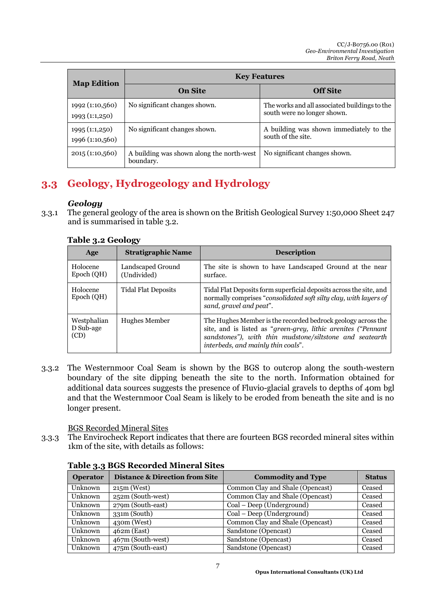| <b>Map Edition</b>                | <b>Key Features</b>                                    |                                                                              |  |  |
|-----------------------------------|--------------------------------------------------------|------------------------------------------------------------------------------|--|--|
|                                   | <b>On Site</b>                                         | <b>Off Site</b>                                                              |  |  |
| 1992 (1:10,560)<br>1993 (1:1,250) | No significant changes shown.                          | The works and all associated buildings to the<br>south were no longer shown. |  |  |
| 1995 (1:1,250)<br>1996 (1:10,560) | No significant changes shown.                          | A building was shown immediately to the<br>south of the site.                |  |  |
| 2015 (1:10,560)                   | A building was shown along the north-west<br>boundary. | No significant changes shown.                                                |  |  |

### **3.3 Geology, Hydrogeology and Hydrology**

#### *Geology*

3.3.1 The general geology of the area is shown on the British Geological Survey 1:50,000 Sheet 247 and is summarised in table 3.2.

| Age                              | <b>Stratigraphic Name</b>        | <b>Description</b>                                                                                                                                                                                                              |
|----------------------------------|----------------------------------|---------------------------------------------------------------------------------------------------------------------------------------------------------------------------------------------------------------------------------|
| Holocene<br>Epoch (QH)           | Landscaped Ground<br>(Undivided) | The site is shown to have Landscaped Ground at the near<br>surface.                                                                                                                                                             |
| Holocene<br>Epoch (QH)           | <b>Tidal Flat Deposits</b>       | Tidal Flat Deposits form superficial deposits across the site, and<br>normally comprises "consolidated soft silty clay, with layers of<br>sand, gravel and peat".                                                               |
| Westphalian<br>D Sub-age<br>(CD) | <b>Hughes Member</b>             | The Hughes Member is the recorded bedrock geology across the<br>site, and is listed as "green-grey, lithic arenites ("Pennant<br>sandstones"), with thin mudstone/siltstone and seatearth<br>interbeds, and mainly thin coals". |

#### **Table 3.2 Geology**

3.3.2 The Westernmoor Coal Seam is shown by the BGS to outcrop along the south-western boundary of the site dipping beneath the site to the north. Information obtained for additional data sources suggests the presence of Fluvio-glacial gravels to depths of 40m bgl and that the Westernmoor Coal Seam is likely to be eroded from beneath the site and is no longer present.

BGS Recorded Mineral Sites

3.3.3 The Envirocheck Report indicates that there are fourteen BGS recorded mineral sites within 1km of the site, with details as follows:

| <b>Operator</b> | <b>Distance &amp; Direction from Site</b> | <b>Commodity and Type</b>        | <b>Status</b> |  |  |
|-----------------|-------------------------------------------|----------------------------------|---------------|--|--|
| Unknown         | $215m$ (West)                             | Common Clay and Shale (Opencast) | Ceased        |  |  |
| Unknown         | 252m (South-west)                         | Common Clay and Shale (Opencast) | Ceased        |  |  |
| Unknown         | 279m (South-east)                         | Coal – Deep (Underground)        | Ceased        |  |  |
| Unknown         | $331m$ (South)                            | Coal – Deep (Underground)        | Ceased        |  |  |
| Unknown         | $430m$ (West)                             | Common Clay and Shale (Opencast) | Ceased        |  |  |
| Unknown         | $462m$ (East)                             | Sandstone (Opencast)             | Ceased        |  |  |
| Unknown         | 467m (South-west)                         | Sandstone (Opencast)             | Ceased        |  |  |
| Unknown         | 475m (South-east)                         | Sandstone (Opencast)             | Ceased        |  |  |

#### **Table 3.3 BGS Recorded Mineral Sites**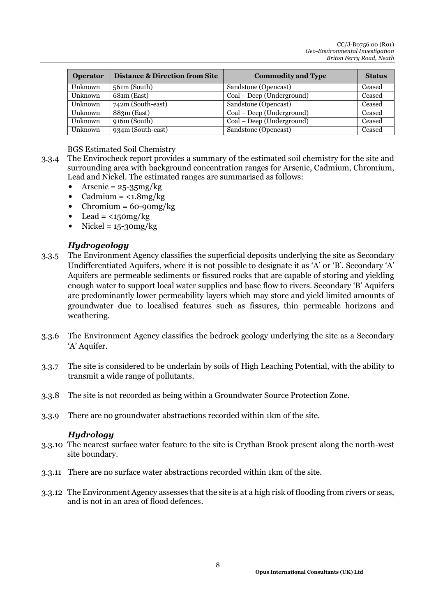| <b>Operator</b> | <b>Distance &amp; Direction from Site</b> | <b>Commodity and Type</b> | <b>Status</b> |
|-----------------|-------------------------------------------|---------------------------|---------------|
| Unknown         | $561m$ (South)                            | Sandstone (Opencast)      | Ceased        |
| Unknown         | $68$ 1m (East)                            | Coal – Deep (Underground) | Ceased        |
| Unknown         | 742m (South-east)                         | Sandstone (Opencast)      | Ceased        |
| Unknown         | 883m (East)                               | Coal – Deep (Underground) | Ceased        |
| Unknown         | 916m (South)                              | Coal – Deep (Underground) | Ceased        |
| Unknown         | 934m (South-east)                         | Sandstone (Opencast)      | Ceased        |

#### BGS Estimated Soil Chemistry

- 3.3.4 The Envirocheck report provides a summary of the estimated soil chemistry for the site and surrounding area with background concentration ranges for Arsenic, Cadmium, Chromium, Lead and Nickel. The estimated ranges are summarised as follows:
	- Arsenic =  $25 35mg/kg$
	- $Cadmium = <1.8mg/kg$
	- Chromium =  $60 90$ mg/kg
	- Lead =  $\langle 150 \text{mg/kg} \rangle$
	- $Nickel = 15 30mg/kg$

#### *Hydrogeology*

- 3.3.5 The Environment Agency classifies the superficial deposits underlying the site as Secondary Undifferentiated Aquifers, where it is not possible to designate it as 'A' or 'B'. Secondary 'A' Aquifers are permeable sediments or fissured rocks that are capable of storing and yielding enough water to support local water supplies and base flow to rivers. Secondary 'B' Aquifers are predominantly lower permeability layers which may store and yield limited amounts of groundwater due to localised features such as fissures, thin permeable horizons and weathering.
- 3.3.6 The Environment Agency classifies the bedrock geology underlying the site as a Secondary 'A' Aquifer.
- 3.3.7 The site is considered to be underlain by soils of High Leaching Potential, with the ability to transmit a wide range of pollutants.
- 3.3.8 The site is not recorded as being within a Groundwater Source Protection Zone.
- 3.3.9 There are no groundwater abstractions recorded within 1km of the site.

#### *Hydrology*

- 3.3.10 The nearest surface water feature to the site is Crythan Brook present along the north-west site boundary.
- 3.3.11 There are no surface water abstractions recorded within 1km of the site.
- 3.3.12 The Environment Agency assesses that the site is at a high risk of flooding from rivers or seas, and is not in an area of flood defences.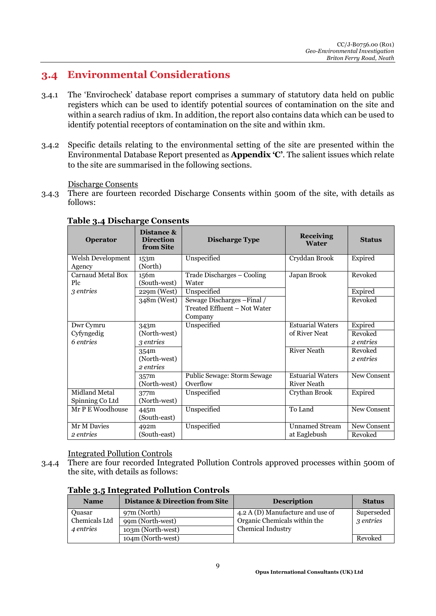### **3.4 Environmental Considerations**

- 3.4.1 The 'Envirocheck' database report comprises a summary of statutory data held on public registers which can be used to identify potential sources of contamination on the site and within a search radius of 1km. In addition, the report also contains data which can be used to identify potential receptors of contamination on the site and within 1km.
- 3.4.2 Specific details relating to the environmental setting of the site are presented within the Environmental Database Report presented as **Appendix 'C'**. The salient issues which relate to the site are summarised in the following sections.

Discharge Consents

3.4.3 There are fourteen recorded Discharge Consents within 500m of the site, with details as follows:

| <b>Operator</b>      | Distance &<br><b>Direction</b><br>from Site | <b>Discharge Type</b>        | <b>Receiving</b><br><b>Water</b> | <b>Status</b> |
|----------------------|---------------------------------------------|------------------------------|----------------------------------|---------------|
| Welsh Development    | 153m                                        | Unspecified                  | Cryddan Brook                    | Expired       |
| Agency               | (North)                                     |                              |                                  |               |
| Carnaud Metal Box    | 156m                                        | Trade Discharges - Cooling   | Japan Brook                      | Revoked       |
| Plc                  | (South-west)                                | Water                        |                                  |               |
| 3 entries            | $229m$ (West)                               | Unspecified                  |                                  | Expired       |
|                      | 348m (West)                                 | Sewage Discharges - Final /  |                                  | Revoked       |
|                      |                                             | Treated Effluent - Not Water |                                  |               |
|                      |                                             | Company                      |                                  |               |
| Dwr Cymru            | 343m                                        | Unspecified                  | <b>Estuarial Waters</b>          | Expired       |
| Cyfyngedig           | (North-west)                                |                              | of River Neat                    | Revoked       |
| 6 entries            | 3 entries                                   |                              |                                  | 2 entries     |
|                      | 354m                                        |                              | <b>River Neath</b>               | Revoked       |
|                      | (North-west)                                |                              |                                  | 2 entries     |
|                      | 2 entries                                   |                              |                                  |               |
|                      | 357m                                        | Public Sewage: Storm Sewage  | <b>Estuarial Waters</b>          | New Consent   |
|                      | (North-west)                                | Overflow                     | <b>River Neath</b>               |               |
| <b>Midland Metal</b> | 377m                                        | Unspecified                  | Crythan Brook                    | Expired       |
| Spinning Co Ltd      | (North-west)                                |                              |                                  |               |
| Mr P E Woodhouse     | 445m                                        | Unspecified                  | To Land                          | New Consent   |
|                      | (South-east)                                |                              |                                  |               |
| Mr M Davies          | 492m                                        | Unspecified                  | <b>Unnamed Stream</b>            | New Consent   |
| 2 entries            | (South-east)                                |                              | at Eaglebush                     | Revoked       |

#### **Table 3.4 Discharge Consents**

Integrated Pollution Controls

3.4.4 There are four recorded Integrated Pollution Controls approved processes within 500m of the site, with details as follows:

| <b>Name</b>   | <b>Distance &amp; Direction from Site</b> | <b>Description</b>               | <b>Status</b> |
|---------------|-------------------------------------------|----------------------------------|---------------|
| Quasar        | 97m (North)                               | 4.2 A (D) Manufacture and use of | Superseded    |
| Chemicals Ltd | 99m (North-west)                          | Organic Chemicals within the     | 3 entries     |
| 4 entries     | 103m (North-west)                         | <b>Chemical Industry</b>         |               |
|               | 104m (North-west)                         |                                  | Revoked       |

#### **Table 3.5 Integrated Pollution Controls**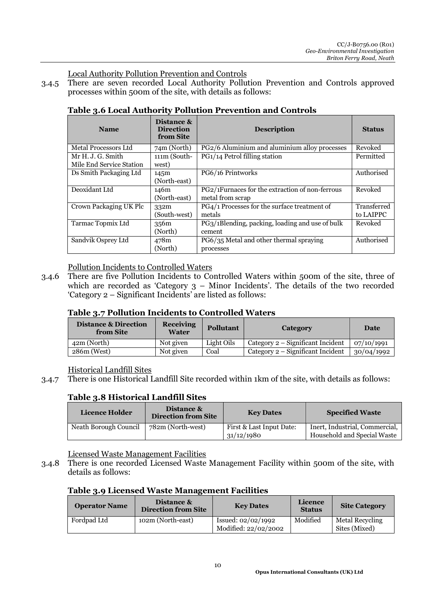Local Authority Pollution Prevention and Controls

3.4.5 There are seven recorded Local Authority Pollution Prevention and Controls approved processes within 500m of the site, with details as follows:

| <b>Name</b>              | Distance &<br><b>Direction</b><br>from Site | <b>Description</b>                              | <b>Status</b> |
|--------------------------|---------------------------------------------|-------------------------------------------------|---------------|
| Metal Processors Ltd     | 74m (North)                                 | PG2/6 Aluminium and aluminium alloy processes   | Revoked       |
| Mr H. J. G. Smith        | $111m$ (South-                              | PG1/14 Petrol filling station                   | Permitted     |
| Mile End Service Station | west)                                       |                                                 |               |
| Ds Smith Packaging Ltd   | 145m                                        | PG6/16 Printworks                               | Authorised    |
|                          | (North-east)                                |                                                 |               |
| Deoxidant Ltd            | 146m                                        | PG2/1Furnaces for the extraction of non-ferrous | Revoked       |
|                          | (North-east)                                | metal from scrap                                |               |
| Crown Packaging UK Plc   | 332m                                        | PG4/1 Processes for the surface treatment of    | Transferred   |
|                          | (South-west)                                | metals                                          | to LAIPPC     |
| Tarmac Topmix Ltd        | 356m                                        | PG3/1Blending, packing, loading and use of bulk | Revoked       |
|                          | (North)                                     | cement                                          |               |
| Sandvik Osprey Ltd       | 478m                                        | PG6/35 Metal and other thermal spraying         | Authorised    |
|                          | (North)                                     | processes                                       |               |

#### **Table 3.6 Local Authority Pollution Prevention and Controls**

#### Pollution Incidents to Controlled Waters

3.4.6 There are five Pollution Incidents to Controlled Waters within 500m of the site, three of which are recorded as 'Category 3 – Minor Incidents'. The details of the two recorded 'Category 2 – Significant Incidents' are listed as follows:

#### **Table 3.7 Pollution Incidents to Controlled Waters**

| <b>Distance &amp; Direction</b><br>from Site | <b>Receiving</b><br>Water | <b>Pollutant</b> | Category                            | Date       |
|----------------------------------------------|---------------------------|------------------|-------------------------------------|------------|
| 42m (North)                                  | Not given                 | Light Oils       | Category $2$ – Significant Incident | 07/10/1991 |
| $286m$ (West)                                | Not given                 | Coal             | Category $2$ – Significant Incident | 30/04/1992 |

#### Historical Landfill Sites

3.4.7 There is one Historical Landfill Site recorded within 1km of the site, with details as follows:

#### **Table 3.8 Historical Landfill Sites**

| Licence Holder        | Distance &<br><b>Direction from Site</b> | <b>Key Dates</b>                       | <b>Specified Waste</b>                                        |
|-----------------------|------------------------------------------|----------------------------------------|---------------------------------------------------------------|
| Neath Borough Council | 782m (North-west)                        | First & Last Input Date:<br>31/12/1980 | Inert, Industrial, Commercial,<br>Household and Special Waste |

Licensed Waste Management Facilities

3.4.8 There is one recorded Licensed Waste Management Facility within 500m of the site, with details as follows:

#### **Table 3.9 Licensed Waste Management Facilities**

| <b>Operator Name</b> | Distance &<br><b>Direction from Site</b> | <b>Key Dates</b>                             | Licence<br><b>Status</b> | <b>Site Category</b>                    |
|----------------------|------------------------------------------|----------------------------------------------|--------------------------|-----------------------------------------|
| Fordpad Ltd          | 102m (North-east)                        | Issued: $02/02/1992$<br>Modified: 22/02/2002 | Modified                 | <b>Metal Recycling</b><br>Sites (Mixed) |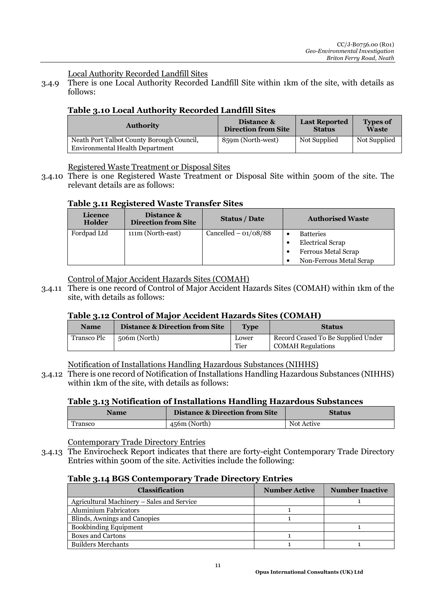Local Authority Recorded Landfill Sites

3.4.9 There is one Local Authority Recorded Landfill Site within 1km of the site, with details as follows:

#### **Table 3.10 Local Authority Recorded Landfill Sites**

| <b>Authority</b>                                                             | Distance &                 | <b>Last Reported</b> | <b>Types of</b> |
|------------------------------------------------------------------------------|----------------------------|----------------------|-----------------|
|                                                                              | <b>Direction from Site</b> | <b>Status</b>        | <b>Waste</b>    |
| Neath Port Talbot County Borough Council,<br>Environmental Health Department | 859m (North-west)          | Not Supplied         | Not Supplied    |

Registered Waste Treatment or Disposal Sites

3.4.10 There is one Registered Waste Treatment or Disposal Site within 500m of the site. The relevant details are as follows:

#### **Table 3.11 Registered Waste Transfer Sites**

| <b>Licence</b><br>Holder | Distance &<br><b>Direction from Site</b> | <b>Status / Date</b>   | <b>Authorised Waste</b>                                                                       |
|--------------------------|------------------------------------------|------------------------|-----------------------------------------------------------------------------------------------|
| Fordpad Ltd              | 111m (North-east)                        | Cancelled $-$ 01/08/88 | <b>Batteries</b><br><b>Electrical Scrap</b><br>Ferrous Metal Scrap<br>Non-Ferrous Metal Scrap |

Control of Major Accident Hazards Sites (COMAH)

3.4.11 There is one record of Control of Major Accident Hazards Sites (COMAH) within 1km of the site, with details as follows:

#### **Table 3.12 Control of Major Accident Hazards Sites (COMAH)**

| <b>Name</b> | Distance & Direction from Site | Type  | <b>Status</b>                      |
|-------------|--------------------------------|-------|------------------------------------|
| Transco Plc | 506m (North)                   | Lower | Record Ceased To Be Supplied Under |
|             |                                | Tier  | <b>COMAH Regulations</b>           |

Notification of Installations Handling Hazardous Substances (NIHHS)

3.4.12 There is one record of Notification of Installations Handling Hazardous Substances (NIHHS) within 1km of the site, with details as follows:

#### **Table 3.13 Notification of Installations Handling Hazardous Substances**

| Name    | <b>Distance &amp; Direction from Site</b> | <b>Status</b> |
|---------|-------------------------------------------|---------------|
| Transco | 456m (North)                              | Not Active    |

Contemporary Trade Directory Entries

3.4.13 The Envirocheck Report indicates that there are forty-eight Contemporary Trade Directory Entries within 500m of the site. Activities include the following:

#### **Table 3.14 BGS Contemporary Trade Directory Entries**

| <b>Classification</b>                      | <b>Number Active</b> | <b>Number Inactive</b> |
|--------------------------------------------|----------------------|------------------------|
| Agricultural Machinery – Sales and Service |                      |                        |
| <b>Aluminium Fabricators</b>               |                      |                        |
| Blinds, Awnings and Canopies               |                      |                        |
| <b>Bookbinding Equipment</b>               |                      |                        |
| <b>Boxes and Cartons</b>                   |                      |                        |
| <b>Builders Merchants</b>                  |                      |                        |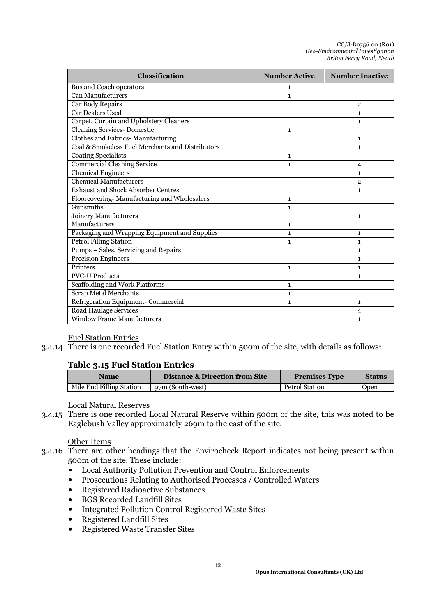| Classification                                   | <b>Number Active</b> | <b>Number Inactive</b> |
|--------------------------------------------------|----------------------|------------------------|
| <b>Bus and Coach operators</b>                   | 1                    |                        |
| Can Manufacturers                                | $\mathbf{1}$         |                        |
| <b>Car Body Repairs</b>                          |                      | $\overline{2}$         |
| <b>Car Dealers Used</b>                          |                      | 1                      |
| Carpet, Curtain and Upholstery Cleaners          |                      | 1                      |
| <b>Cleaning Services- Domestic</b>               | 1                    |                        |
| Clothes and Fabrics-Manufacturing                |                      | 1                      |
| Coal & Smokeless Fuel Merchants and Distributors |                      | 1                      |
| <b>Coating Specialists</b>                       | $\mathbf{1}$         |                        |
| Commercial Cleaning Service                      | 1                    | 4                      |
| <b>Chemical Engineers</b>                        |                      | 1                      |
| <b>Chemical Manufacturers</b>                    |                      | $\overline{2}$         |
| <b>Exhaust and Shock Absorber Centres</b>        |                      | 1                      |
| Floorcovering-Manufacturing and Wholesalers      | 1                    |                        |
| Gunsmiths                                        | $\mathbf{1}$         |                        |
| <b>Joinery Manufacturers</b>                     |                      | 1                      |
| Manufacturers                                    | $\mathbf{1}$         |                        |
| Packaging and Wrapping Equipment and Supplies    | $\mathbf{1}$         | 1                      |
| <b>Petrol Filling Station</b>                    | 1                    | 1                      |
| Pumps - Sales, Servicing and Repairs             |                      | 1                      |
| <b>Precision Engineers</b>                       |                      | 1                      |
| Printers                                         | 1                    | 1                      |
| <b>PVC-U Products</b>                            |                      | 1                      |
| Scaffolding and Work Platforms                   | $\mathbf{1}$         |                        |
| <b>Scrap Metal Merchants</b>                     | 1                    |                        |
| Refrigeration Equipment- Commercial              | 1                    | 1                      |
| <b>Road Haulage Services</b>                     |                      | 4                      |
| <b>Window Frame Manufacturers</b>                |                      | $\mathbf{1}$           |

#### Fuel Station Entries

3.4.14 There is one recorded Fuel Station Entry within 500m of the site, with details as follows:

#### **Table 3.15 Fuel Station Entries**

| Name                     | <b>Distance &amp; Direction from Site</b> | <b>Premises Type</b>  | <b>Status</b> |
|--------------------------|-------------------------------------------|-----------------------|---------------|
| Mile End Filling Station | 97m (South-west)                          | <b>Petrol Station</b> | Open          |

#### Local Natural Reserves

3.4.15 There is one recorded Local Natural Reserve within 500m of the site, this was noted to be Eaglebush Valley approximately 269m to the east of the site.

#### Other Items

- 3.4.16 There are other headings that the Envirocheck Report indicates not being present within 500m of the site. These include:
	- Local Authority Pollution Prevention and Control Enforcements
	- Prosecutions Relating to Authorised Processes / Controlled Waters
	- Registered Radioactive Substances
	- BGS Recorded Landfill Sites
	- Integrated Pollution Control Registered Waste Sites
	- Registered Landfill Sites
	- Registered Waste Transfer Sites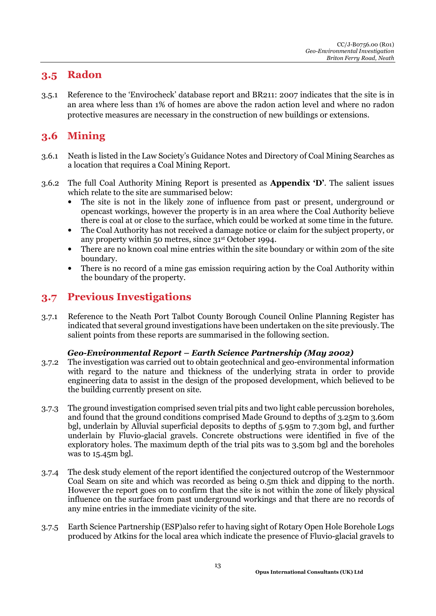### **3.5 Radon**

3.5.1 Reference to the 'Envirocheck' database report and BR211: 2007 indicates that the site is in an area where less than 1% of homes are above the radon action level and where no radon protective measures are necessary in the construction of new buildings or extensions.

### **3.6 Mining**

- 3.6.1 Neath is listed in the Law Society's Guidance Notes and Directory of Coal Mining Searches as a location that requires a Coal Mining Report.
- 3.6.2 The full Coal Authority Mining Report is presented as **Appendix 'D'**. The salient issues which relate to the site are summarised below:
	- The site is not in the likely zone of influence from past or present, underground or opencast workings, however the property is in an area where the Coal Authority believe there is coal at or close to the surface, which could be worked at some time in the future.
	- The Coal Authority has not received a damage notice or claim for the subject property, or any property within 50 metres, since 31st October 1994.
	- There are no known coal mine entries within the site boundary or within 20m of the site boundary.
	- There is no record of a mine gas emission requiring action by the Coal Authority within the boundary of the property.

### **3.7 Previous Investigations**

3.7.1 Reference to the Neath Port Talbot County Borough Council Online Planning Register has indicated that several ground investigations have been undertaken on the site previously. The salient points from these reports are summarised in the following section.

#### *Geo-Environmental Report – Earth Science Partnership (May 2002)*

- 3.7.2 The investigation was carried out to obtain geotechnical and geo-environmental information with regard to the nature and thickness of the underlying strata in order to provide engineering data to assist in the design of the proposed development, which believed to be the building currently present on site.
- 3.7.3 The ground investigation comprised seven trial pits and two light cable percussion boreholes, and found that the ground conditions comprised Made Ground to depths of 3.25m to 3.60m bgl, underlain by Alluvial superficial deposits to depths of 5.95m to 7.30m bgl, and further underlain by Fluvio-glacial gravels. Concrete obstructions were identified in five of the exploratory holes. The maximum depth of the trial pits was to 3.50m bgl and the boreholes was to 15.45m bgl.
- 3.7.4 The desk study element of the report identified the conjectured outcrop of the Westernmoor Coal Seam on site and which was recorded as being 0.5m thick and dipping to the north. However the report goes on to confirm that the site is not within the zone of likely physical influence on the surface from past underground workings and that there are no records of any mine entries in the immediate vicinity of the site.
- 3.7.5 Earth Science Partnership (ESP)also refer to having sight of Rotary Open Hole Borehole Logs produced by Atkins for the local area which indicate the presence of Fluvio-glacial gravels to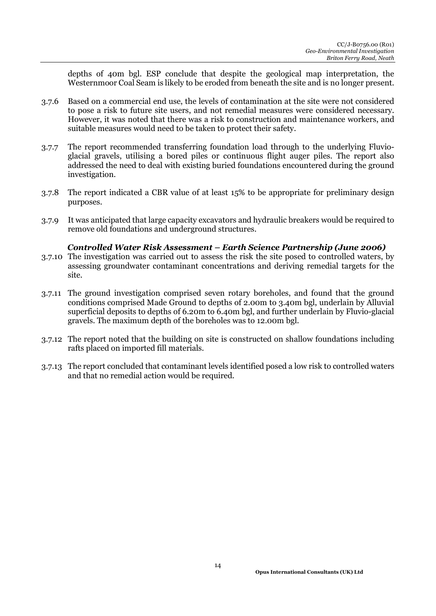depths of 40m bgl. ESP conclude that despite the geological map interpretation, the Westernmoor Coal Seam is likely to be eroded from beneath the site and is no longer present.

- 3.7.6 Based on a commercial end use, the levels of contamination at the site were not considered to pose a risk to future site users, and not remedial measures were considered necessary. However, it was noted that there was a risk to construction and maintenance workers, and suitable measures would need to be taken to protect their safety.
- 3.7.7 The report recommended transferring foundation load through to the underlying Fluvioglacial gravels, utilising a bored piles or continuous flight auger piles. The report also addressed the need to deal with existing buried foundations encountered during the ground investigation.
- 3.7.8 The report indicated a CBR value of at least 15% to be appropriate for preliminary design purposes.
- 3.7.9 It was anticipated that large capacity excavators and hydraulic breakers would be required to remove old foundations and underground structures.

#### *Controlled Water Risk Assessment – Earth Science Partnership (June 2006)*

- 3.7.10 The investigation was carried out to assess the risk the site posed to controlled waters, by assessing groundwater contaminant concentrations and deriving remedial targets for the site.
- 3.7.11 The ground investigation comprised seven rotary boreholes, and found that the ground conditions comprised Made Ground to depths of 2.00m to 3.40m bgl, underlain by Alluvial superficial deposits to depths of 6.20m to 6.40m bgl, and further underlain by Fluvio-glacial gravels. The maximum depth of the boreholes was to 12.00m bgl.
- 3.7.12 The report noted that the building on site is constructed on shallow foundations including rafts placed on imported fill materials.
- 3.7.13 The report concluded that contaminant levels identified posed a low risk to controlled waters and that no remedial action would be required.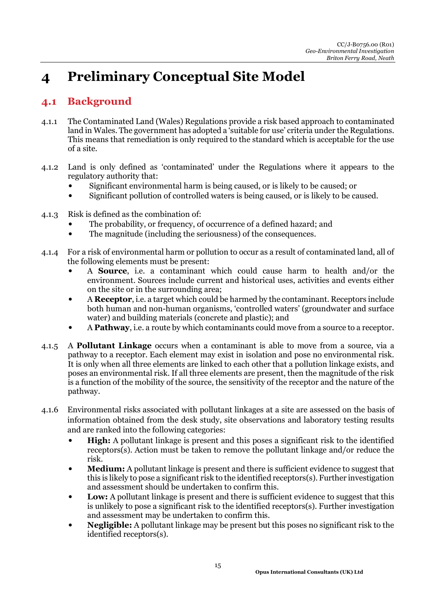# **4 Preliminary Conceptual Site Model**

### **4.1 Background**

- 4.1.1 The Contaminated Land (Wales) Regulations provide a risk based approach to contaminated land in Wales. The government has adopted a 'suitable for use' criteria under the Regulations. This means that remediation is only required to the standard which is acceptable for the use of a site.
- 4.1.2 Land is only defined as 'contaminated' under the Regulations where it appears to the regulatory authority that:
	- Significant environmental harm is being caused, or is likely to be caused; or
	- Significant pollution of controlled waters is being caused, or is likely to be caused.
- 4.1.3 Risk is defined as the combination of:
	- The probability, or frequency, of occurrence of a defined hazard; and
	- The magnitude (including the seriousness) of the consequences.
- 4.1.4 For a risk of environmental harm or pollution to occur as a result of contaminated land, all of the following elements must be present:
	- A **Source**, i.e. a contaminant which could cause harm to health and/or the environment. Sources include current and historical uses, activities and events either on the site or in the surrounding area;
	- A **Receptor**, i.e. a target which could be harmed by the contaminant. Receptors include both human and non-human organisms, 'controlled waters' (groundwater and surface water) and building materials (concrete and plastic); and
	- A **Pathway**, i.e. a route by which contaminants could move from a source to a receptor.
- 4.1.5 A **Pollutant Linkage** occurs when a contaminant is able to move from a source, via a pathway to a receptor. Each element may exist in isolation and pose no environmental risk. It is only when all three elements are linked to each other that a pollution linkage exists, and poses an environmental risk. If all three elements are present, then the magnitude of the risk is a function of the mobility of the source, the sensitivity of the receptor and the nature of the pathway.
- 4.1.6 Environmental risks associated with pollutant linkages at a site are assessed on the basis of information obtained from the desk study, site observations and laboratory testing results and are ranked into the following categories:
	- **High:** A pollutant linkage is present and this poses a significant risk to the identified receptors(s). Action must be taken to remove the pollutant linkage and/or reduce the risk.
	- **Medium:** A pollutant linkage is present and there is sufficient evidence to suggest that this is likely to pose a significant risk to the identified receptors(s). Further investigation and assessment should be undertaken to confirm this.
	- **Low:** A pollutant linkage is present and there is sufficient evidence to suggest that this is unlikely to pose a significant risk to the identified receptors(s). Further investigation and assessment may be undertaken to confirm this.
	- **Negligible:** A pollutant linkage may be present but this poses no significant risk to the identified receptors(s).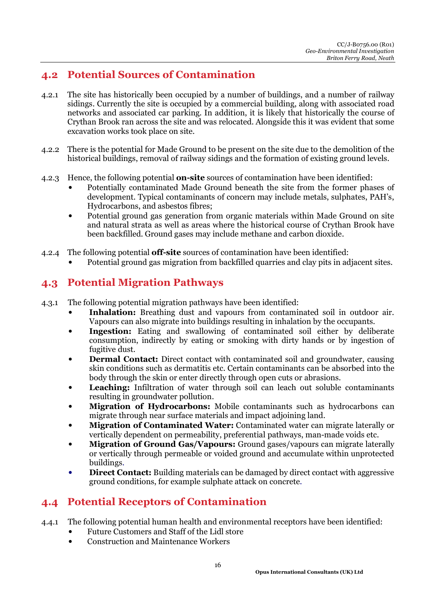### **4.2 Potential Sources of Contamination**

- 4.2.1 The site has historically been occupied by a number of buildings, and a number of railway sidings. Currently the site is occupied by a commercial building, along with associated road networks and associated car parking. In addition, it is likely that historically the course of Crythan Brook ran across the site and was relocated. Alongside this it was evident that some excavation works took place on site.
- 4.2.2 There is the potential for Made Ground to be present on the site due to the demolition of the historical buildings, removal of railway sidings and the formation of existing ground levels.
- 4.2.3 Hence, the following potential **on-site** sources of contamination have been identified:
	- Potentially contaminated Made Ground beneath the site from the former phases of development. Typical contaminants of concern may include metals, sulphates, PAH's, Hydrocarbons, and asbestos fibres;
	- Potential ground gas generation from organic materials within Made Ground on site and natural strata as well as areas where the historical course of Crythan Brook have been backfilled. Ground gases may include methane and carbon dioxide.
- 4.2.4 The following potential **off-site** sources of contamination have been identified:
	- Potential ground gas migration from backfilled quarries and clay pits in adjacent sites.

### **4.3 Potential Migration Pathways**

- 4.3.1 The following potential migration pathways have been identified:
	- **Inhalation:** Breathing dust and vapours from contaminated soil in outdoor air. Vapours can also migrate into buildings resulting in inhalation by the occupants.
	- **Ingestion:** Eating and swallowing of contaminated soil either by deliberate consumption, indirectly by eating or smoking with dirty hands or by ingestion of fugitive dust.
	- **Dermal Contact:** Direct contact with contaminated soil and groundwater, causing skin conditions such as dermatitis etc. Certain contaminants can be absorbed into the body through the skin or enter directly through open cuts or abrasions.
	- Leaching: Infiltration of water through soil can leach out soluble contaminants resulting in groundwater pollution.
	- **Migration of Hydrocarbons:** Mobile contaminants such as hydrocarbons can migrate through near surface materials and impact adjoining land.
	- **Migration of Contaminated Water:** Contaminated water can migrate laterally or vertically dependent on permeability, preferential pathways, man-made voids etc.
	- **Migration of Ground Gas/Vapours:** Ground gases/vapours can migrate laterally or vertically through permeable or voided ground and accumulate within unprotected buildings.
	- **Direct Contact:** Building materials can be damaged by direct contact with aggressive ground conditions, for example sulphate attack on concrete*.*

### **4.4 Potential Receptors of Contamination**

- 4.4.1 The following potential human health and environmental receptors have been identified:
	- Future Customers and Staff of the Lidl store
	- Construction and Maintenance Workers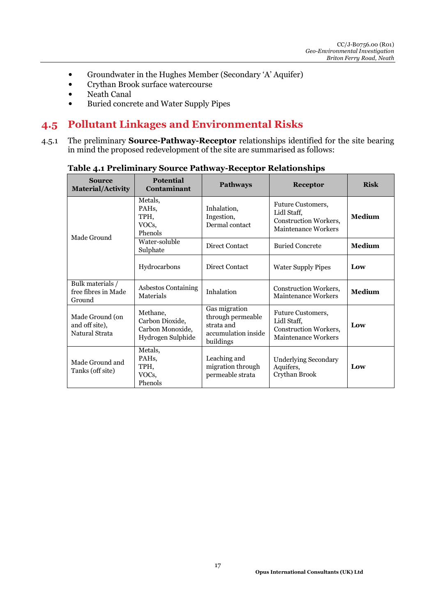- Groundwater in the Hughes Member (Secondary 'A' Aquifer)
- Crythan Brook surface watercourse
- Neath Canal
- Buried concrete and Water Supply Pipes

#### **4.5 Pollutant Linkages and Environmental Risks**

4.5.1 The preliminary **Source-Pathway-Receptor** relationships identified for the site bearing in mind the proposed redevelopment of the site are summarised as follows:

| <b>Source</b><br>Material/Activity                  | <b>Potential</b><br>Contaminant                                      | <b>Pathways</b>                                                                      | <b>Receptor</b>                                                                                       | <b>Risk</b>   |
|-----------------------------------------------------|----------------------------------------------------------------------|--------------------------------------------------------------------------------------|-------------------------------------------------------------------------------------------------------|---------------|
| Made Ground                                         | Metals,<br>PAH <sub>s</sub><br>TPH,<br>VOCs,<br>Phenols              | Inhalation,<br>Ingestion,<br>Dermal contact                                          | <b>Future Customers,</b><br>Lidl Staff,<br><b>Construction Workers.</b><br><b>Maintenance Workers</b> | <b>Medium</b> |
|                                                     | Water-soluble<br>Sulphate                                            | Direct Contact                                                                       | <b>Buried Concrete</b>                                                                                | <b>Medium</b> |
|                                                     | Hydrocarbons                                                         | Direct Contact                                                                       | <b>Water Supply Pipes</b>                                                                             | Low           |
| Bulk materials /<br>free fibres in Made<br>Ground   | Asbestos Containing<br>Materials                                     | Inhalation                                                                           | <b>Construction Workers,</b><br>Maintenance Workers                                                   | <b>Medium</b> |
| Made Ground (on<br>and off site),<br>Natural Strata | Methane,<br>Carbon Dioxide,<br>Carbon Monoxide,<br>Hydrogen Sulphide | Gas migration<br>through permeable<br>strata and<br>accumulation inside<br>buildings | <b>Future Customers,</b><br>Lidl Staff,<br><b>Construction Workers,</b><br>Maintenance Workers        | Low           |
| Made Ground and<br>Tanks (off site)                 | Metals,<br>PAH <sub>s</sub><br>TPH,<br>VOCs,<br>Phenols              | Leaching and<br>migration through<br>permeable strata                                | <b>Underlying Secondary</b><br>Aquifers,<br>Crythan Brook                                             | Low           |

**Table 4.1 Preliminary Source Pathway-Receptor Relationships**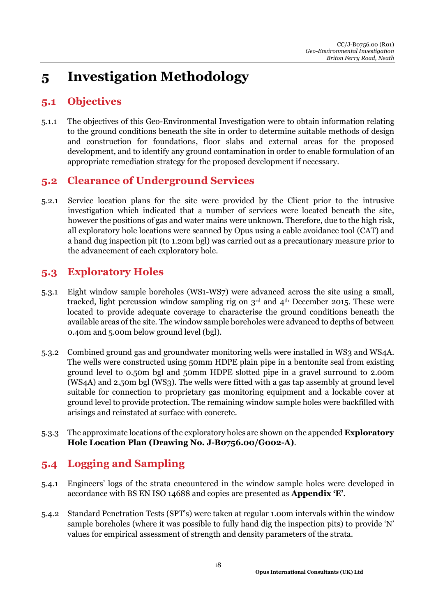# **5 Investigation Methodology**

### **5.1 Objectives**

5.1.1 The objectives of this Geo-Environmental Investigation were to obtain information relating to the ground conditions beneath the site in order to determine suitable methods of design and construction for foundations, floor slabs and external areas for the proposed development, and to identify any ground contamination in order to enable formulation of an appropriate remediation strategy for the proposed development if necessary.

### **5.2 Clearance of Underground Services**

5.2.1 Service location plans for the site were provided by the Client prior to the intrusive investigation which indicated that a number of services were located beneath the site, however the positions of gas and water mains were unknown. Therefore, due to the high risk, all exploratory hole locations were scanned by Opus using a cable avoidance tool (CAT) and a hand dug inspection pit (to 1.20m bgl) was carried out as a precautionary measure prior to the advancement of each exploratory hole.

### **5.3 Exploratory Holes**

- 5.3.1 Eight window sample boreholes (WS1-WS7) were advanced across the site using a small, tracked, light percussion window sampling rig on  $3<sup>rd</sup>$  and  $4<sup>th</sup>$  December 2015. These were located to provide adequate coverage to characterise the ground conditions beneath the available areas of the site. The window sample boreholes were advanced to depths of between 0.40m and 5.00m below ground level (bgl).
- 5.3.2 Combined ground gas and groundwater monitoring wells were installed in WS3 and WS4A. The wells were constructed using 50mm HDPE plain pipe in a bentonite seal from existing ground level to 0.50m bgl and 50mm HDPE slotted pipe in a gravel surround to 2.00m (WS4A) and 2.50m bgl (WS3). The wells were fitted with a gas tap assembly at ground level suitable for connection to proprietary gas monitoring equipment and a lockable cover at ground level to provide protection. The remaining window sample holes were backfilled with arisings and reinstated at surface with concrete.
- 5.3.3 The approximate locations of the exploratory holes are shown on the appended **Exploratory Hole Location Plan (Drawing No. J-B0756.00/G002-A)**.

### **5.4 Logging and Sampling**

- 5.4.1 Engineers' logs of the strata encountered in the window sample holes were developed in accordance with BS EN ISO 14688 and copies are presented as **Appendix 'E'**.
- 5.4.2 Standard Penetration Tests (SPT's) were taken at regular 1.00m intervals within the window sample boreholes (where it was possible to fully hand dig the inspection pits) to provide 'N' values for empirical assessment of strength and density parameters of the strata.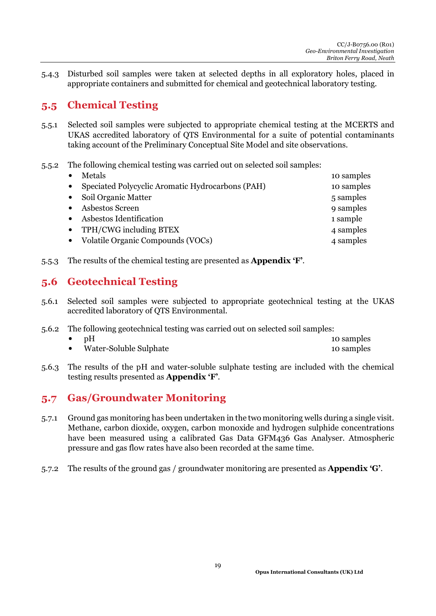5.4.3 Disturbed soil samples were taken at selected depths in all exploratory holes, placed in appropriate containers and submitted for chemical and geotechnical laboratory testing.

### **5.5 Chemical Testing**

- 5.5.1 Selected soil samples were subjected to appropriate chemical testing at the MCERTS and UKAS accredited laboratory of QTS Environmental for a suite of potential contaminants taking account of the Preliminary Conceptual Site Model and site observations.
- 5.5.2 The following chemical testing was carried out on selected soil samples:

|           | Metals                                           | 10 samples |
|-----------|--------------------------------------------------|------------|
| $\bullet$ | Speciated Polycyclic Aromatic Hydrocarbons (PAH) | 10 samples |
|           | Soil Organic Matter                              | 5 samples  |
|           | Asbestos Screen                                  | 9 samples  |
|           | Asbestos Identification                          | 1 sample   |
| $\bullet$ | TPH/CWG including BTEX                           | 4 samples  |
|           | Volatile Organic Compounds (VOCs)                | 4 samples  |
|           |                                                  |            |

5.5.3 The results of the chemical testing are presented as **Appendix 'F'**.

### **5.6 Geotechnical Testing**

- 5.6.1 Selected soil samples were subjected to appropriate geotechnical testing at the UKAS accredited laboratory of QTS Environmental.
- 5.6.2 The following geotechnical testing was carried out on selected soil samples:

| pH                     | 10 samples |
|------------------------|------------|
| Water-Soluble Sulphate | 10 samples |

5.6.3 The results of the pH and water-soluble sulphate testing are included with the chemical testing results presented as **Appendix 'F'**.

### **5.7 Gas/Groundwater Monitoring**

- 5.7.1 Ground gas monitoring has been undertaken in the two monitoring wells during a single visit. Methane, carbon dioxide, oxygen, carbon monoxide and hydrogen sulphide concentrations have been measured using a calibrated Gas Data GFM436 Gas Analyser. Atmospheric pressure and gas flow rates have also been recorded at the same time.
- 5.7.2 The results of the ground gas / groundwater monitoring are presented as **Appendix 'G'**.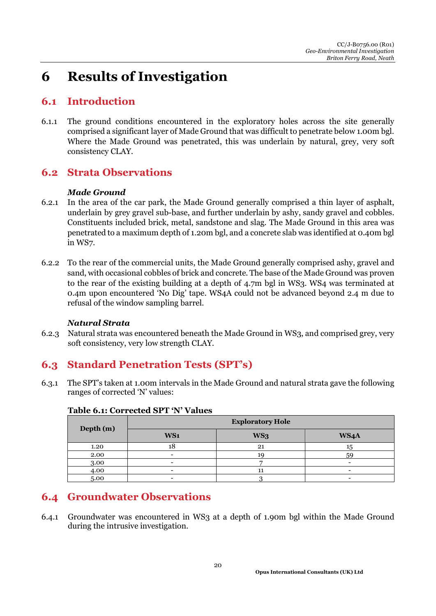# **6 Results of Investigation**

### **6.1 Introduction**

6.1.1 The ground conditions encountered in the exploratory holes across the site generally comprised a significant layer of Made Ground that was difficult to penetrate below 1.00m bgl. Where the Made Ground was penetrated, this was underlain by natural, grey, very soft consistency CLAY.

### **6.2 Strata Observations**

#### *Made Ground*

- 6.2.1 In the area of the car park, the Made Ground generally comprised a thin layer of asphalt, underlain by grey gravel sub-base, and further underlain by ashy, sandy gravel and cobbles. Constituents included brick, metal, sandstone and slag. The Made Ground in this area was penetrated to a maximum depth of 1.20m bgl, and a concrete slab was identified at 0.40m bgl in WS7.
- 6.2.2 To the rear of the commercial units, the Made Ground generally comprised ashy, gravel and sand, with occasional cobbles of brick and concrete. The base of the Made Ground was proven to the rear of the existing building at a depth of 4.7m bgl in WS3. WS4 was terminated at 0.4m upon encountered 'No Dig' tape. WS4A could not be advanced beyond 2.4 m due to refusal of the window sampling barrel.

#### *Natural Strata*

6.2.3 Natural strata was encountered beneath the Made Ground in WS3, and comprised grey, very soft consistency, very low strength CLAY.

### **6.3 Standard Penetration Tests (SPT's)**

6.3.1 The SPT's taken at 1.00m intervals in the Made Ground and natural strata gave the following ranges of corrected 'N' values:

| Depth (m) | <b>Exploratory Hole</b> |     |                          |  |
|-----------|-------------------------|-----|--------------------------|--|
|           | WS <sub>1</sub>         | WS3 | WS4A                     |  |
| 1.20      | 10                      | 21  | 15                       |  |
| 2.00      |                         | 19  | 59                       |  |
| 3.00      |                         |     |                          |  |
| 4.00      |                         | 11  | $\overline{\phantom{0}}$ |  |
| 5.00      |                         |     |                          |  |

#### **Table 6.1: Corrected SPT 'N' Values**

### **6.4 Groundwater Observations**

6.4.1 Groundwater was encountered in WS3 at a depth of 1.90m bgl within the Made Ground during the intrusive investigation.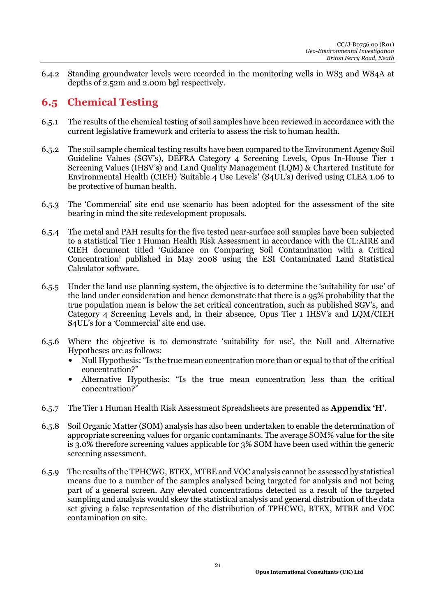6.4.2 Standing groundwater levels were recorded in the monitoring wells in WS3 and WS4A at depths of 2.52m and 2.00m bgl respectively.

### **6.5 Chemical Testing**

- 6.5.1 The results of the chemical testing of soil samples have been reviewed in accordance with the current legislative framework and criteria to assess the risk to human health.
- 6.5.2 The soil sample chemical testing results have been compared to the Environment Agency Soil Guideline Values (SGV's), DEFRA Category 4 Screening Levels, Opus In-House Tier 1 Screening Values (IHSV's) and Land Quality Management (LQM) & Chartered Institute for Environmental Health (CIEH) 'Suitable 4 Use Levels' (S4UL's) derived using CLEA 1.06 to be protective of human health.
- 6.5.3 The 'Commercial' site end use scenario has been adopted for the assessment of the site bearing in mind the site redevelopment proposals.
- 6.5.4 The metal and PAH results for the five tested near-surface soil samples have been subjected to a statistical Tier 1 Human Health Risk Assessment in accordance with the CL:AIRE and CIEH document titled 'Guidance on Comparing Soil Contamination with a Critical Concentration' published in May 2008 using the ESI Contaminated Land Statistical Calculator software.
- 6.5.5 Under the land use planning system, the objective is to determine the 'suitability for use' of the land under consideration and hence demonstrate that there is a 95% probability that the true population mean is below the set critical concentration, such as published SGV's, and Category 4 Screening Levels and, in their absence, Opus Tier 1 IHSV's and LQM/CIEH S4UL's for a 'Commercial' site end use.
- 6.5.6 Where the objective is to demonstrate 'suitability for use', the Null and Alternative Hypotheses are as follows:
	- Null Hypothesis: "Is the true mean concentration more than or equal to that of the critical concentration?"
	- Alternative Hypothesis: "Is the true mean concentration less than the critical concentration?"
- 6.5.7 The Tier 1 Human Health Risk Assessment Spreadsheets are presented as **Appendix 'H'**.
- 6.5.8 Soil Organic Matter (SOM) analysis has also been undertaken to enable the determination of appropriate screening values for organic contaminants. The average SOM% value for the site is 3.0% therefore screening values applicable for 3% SOM have been used within the generic screening assessment.
- 6.5.9 The results of the TPHCWG, BTEX, MTBE and VOC analysis cannot be assessed by statistical means due to a number of the samples analysed being targeted for analysis and not being part of a general screen. Any elevated concentrations detected as a result of the targeted sampling and analysis would skew the statistical analysis and general distribution of the data set giving a false representation of the distribution of TPHCWG, BTEX, MTBE and VOC contamination on site.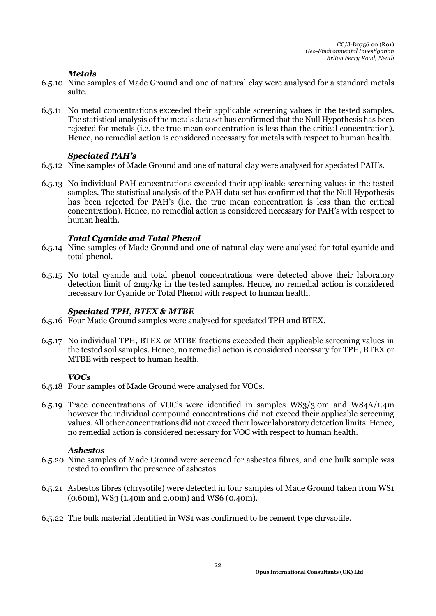#### *Metals*

- 6.5.10 Nine samples of Made Ground and one of natural clay were analysed for a standard metals suite.
- 6.5.11 No metal concentrations exceeded their applicable screening values in the tested samples. The statistical analysis of the metals data set has confirmed that the Null Hypothesis has been rejected for metals (i.e. the true mean concentration is less than the critical concentration). Hence, no remedial action is considered necessary for metals with respect to human health.

#### *Speciated PAH's*

- 6.5.12 Nine samples of Made Ground and one of natural clay were analysed for speciated PAH's.
- 6.5.13 No individual PAH concentrations exceeded their applicable screening values in the tested samples. The statistical analysis of the PAH data set has confirmed that the Null Hypothesis has been rejected for PAH's (i.e. the true mean concentration is less than the critical concentration). Hence, no remedial action is considered necessary for PAH's with respect to human health.

#### *Total Cyanide and Total Phenol*

- 6.5.14 Nine samples of Made Ground and one of natural clay were analysed for total cyanide and total phenol.
- 6.5.15 No total cyanide and total phenol concentrations were detected above their laboratory detection limit of 2mg/kg in the tested samples. Hence, no remedial action is considered necessary for Cyanide or Total Phenol with respect to human health.

#### *Speciated TPH, BTEX & MTBE*

- 6.5.16 Four Made Ground samples were analysed for speciated TPH and BTEX.
- 6.5.17 No individual TPH, BTEX or MTBE fractions exceeded their applicable screening values in the tested soil samples. Hence, no remedial action is considered necessary for TPH, BTEX or MTBE with respect to human health.

#### *VOCs*

- 6.5.18 Four samples of Made Ground were analysed for VOCs.
- 6.5.19 Trace concentrations of VOC's were identified in samples WS3/3.0m and WS4A/1.4m however the individual compound concentrations did not exceed their applicable screening values. All other concentrations did not exceed their lower laboratory detection limits. Hence, no remedial action is considered necessary for VOC with respect to human health.

#### *Asbestos*

- 6.5.20 Nine samples of Made Ground were screened for asbestos fibres, and one bulk sample was tested to confirm the presence of asbestos.
- 6.5.21 Asbestos fibres (chrysotile) were detected in four samples of Made Ground taken from WS1 (0.60m), WS3 (1.40m and 2.00m) and WS6 (0.40m).
- 6.5.22 The bulk material identified in WS1 was confirmed to be cement type chrysotile.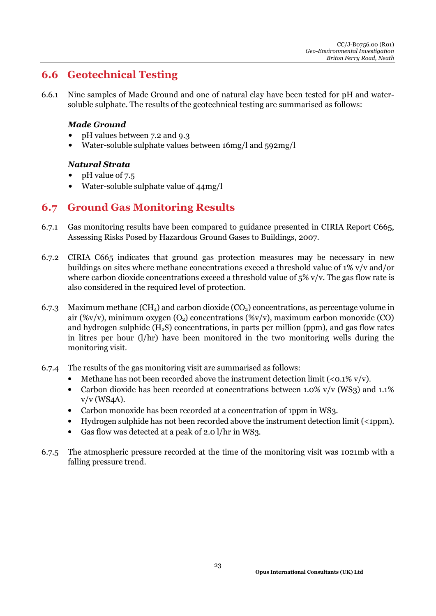### **6.6 Geotechnical Testing**

6.6.1 Nine samples of Made Ground and one of natural clay have been tested for pH and watersoluble sulphate. The results of the geotechnical testing are summarised as follows:

#### *Made Ground*

- pH values between 7.2 and 9.3
- Water-soluble sulphate values between 16mg/l and 592mg/l

#### *Natural Strata*

- pH value of 7.5
- Water-soluble sulphate value of  $44mg/l$

#### **6.7 Ground Gas Monitoring Results**

- 6.7.1 Gas monitoring results have been compared to guidance presented in CIRIA Report C665, Assessing Risks Posed by Hazardous Ground Gases to Buildings, 2007.
- 6.7.2 CIRIA C665 indicates that ground gas protection measures may be necessary in new buildings on sites where methane concentrations exceed a threshold value of 1% v/v and/or where carbon dioxide concentrations exceed a threshold value of  $5\%$  v/v. The gas flow rate is also considered in the required level of protection.
- 6.7.3 Maximum methane  $(CH_4)$  and carbon dioxide  $(CO_2)$  concentrations, as percentage volume in air (% $v/v$ ), minimum oxygen (O<sub>2</sub>) concentrations (% $v/v$ ), maximum carbon monoxide (CO) and hydrogen sulphide  $(H_2S)$  concentrations, in parts per million (ppm), and gas flow rates in litres per hour (l/hr) have been monitored in the two monitoring wells during the monitoring visit.
- 6.7.4 The results of the gas monitoring visit are summarised as follows:
	- Methane has not been recorded above the instrument detection limit  $( $0.1\%$  v/v).$
	- Carbon dioxide has been recorded at concentrations between 1.0% v/v (WS3) and 1.1% v/v (WS4A).
	- Carbon monoxide has been recorded at a concentration of 1ppm in WS3.
	- Hydrogen sulphide has not been recorded above the instrument detection limit (<1ppm).
	- Gas flow was detected at a peak of 2.0 l/hr in WS3.
- 6.7.5 The atmospheric pressure recorded at the time of the monitoring visit was 1021mb with a falling pressure trend.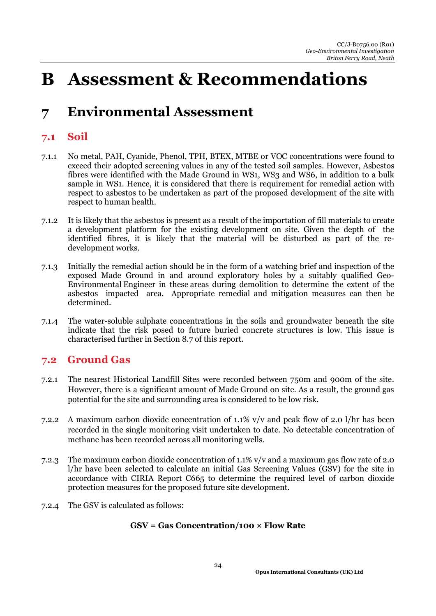# **B Assessment & Recommendations**

# **7 Environmental Assessment**

### **7.1 Soil**

- 7.1.1 No metal, PAH, Cyanide, Phenol, TPH, BTEX, MTBE or VOC concentrations were found to exceed their adopted screening values in any of the tested soil samples. However, Asbestos fibres were identified with the Made Ground in WS1, WS3 and WS6, in addition to a bulk sample in WS1. Hence, it is considered that there is requirement for remedial action with respect to asbestos to be undertaken as part of the proposed development of the site with respect to human health.
- 7.1.2 It is likely that the asbestos is present as a result of the importation of fill materials to create a development platform for the existing development on site. Given the depth of the identified fibres, it is likely that the material will be disturbed as part of the redevelopment works.
- 7.1.3 Initially the remedial action should be in the form of a watching brief and inspection of the exposed Made Ground in and around exploratory holes by a suitably qualified Geo-Environmental Engineer in these areas during demolition to determine the extent of the asbestos impacted area. Appropriate remedial and mitigation measures can then be determined.
- 7.1.4 The water-soluble sulphate concentrations in the soils and groundwater beneath the site indicate that the risk posed to future buried concrete structures is low. This issue is characterised further in Section 8.7 of this report.

### **7.2 Ground Gas**

- 7.2.1 The nearest Historical Landfill Sites were recorded between 750m and 900m of the site. However, there is a significant amount of Made Ground on site. As a result, the ground gas potential for the site and surrounding area is considered to be low risk.
- 7.2.2 A maximum carbon dioxide concentration of 1.1% v/v and peak flow of 2.0 l/hr has been recorded in the single monitoring visit undertaken to date. No detectable concentration of methane has been recorded across all monitoring wells.
- 7.2.3 The maximum carbon dioxide concentration of 1.1% v/v and a maximum gas flow rate of 2.0 l/hr have been selected to calculate an initial Gas Screening Values (GSV) for the site in accordance with CIRIA Report C665 to determine the required level of carbon dioxide protection measures for the proposed future site development.
- 7.2.4 The GSV is calculated as follows:

#### **GSV = Gas Concentration/100 × Flow Rate**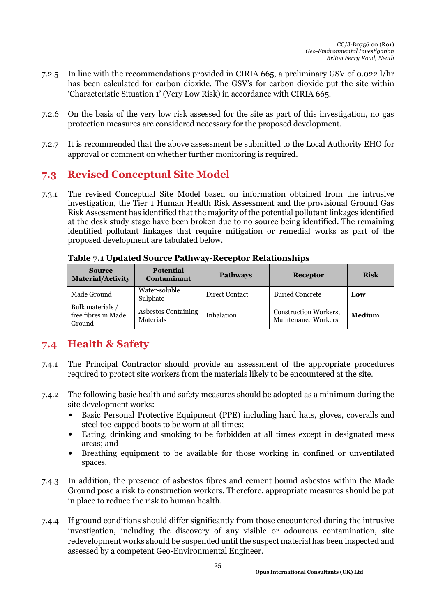- 7.2.5 In line with the recommendations provided in CIRIA 665, a preliminary GSV of 0.022 l/hr has been calculated for carbon dioxide. The GSV's for carbon dioxide put the site within 'Characteristic Situation 1' (Very Low Risk) in accordance with CIRIA 665.
- 7.2.6 On the basis of the very low risk assessed for the site as part of this investigation, no gas protection measures are considered necessary for the proposed development.
- 7.2.7 It is recommended that the above assessment be submitted to the Local Authority EHO for approval or comment on whether further monitoring is required.

### **7.3 Revised Conceptual Site Model**

7.3.1 The revised Conceptual Site Model based on information obtained from the intrusive investigation, the Tier 1 Human Health Risk Assessment and the provisional Ground Gas Risk Assessment has identified that the majority of the potential pollutant linkages identified at the desk study stage have been broken due to no source being identified. The remaining identified pollutant linkages that require mitigation or remedial works as part of the proposed development are tabulated below.

| <b>Source</b><br><b>Material/Activity</b>         | <b>Potential</b><br><b>Contaminant</b> | <b>Pathways</b> | <b>Receptor</b>                                     | <b>Risk</b>   |
|---------------------------------------------------|----------------------------------------|-----------------|-----------------------------------------------------|---------------|
| Made Ground                                       | Water-soluble<br>Sulphate              | Direct Contact  | <b>Buried Concrete</b>                              | Low           |
| Bulk materials /<br>free fibres in Made<br>Ground | Asbestos Containing<br>Materials       | Inhalation      | Construction Workers,<br><b>Maintenance Workers</b> | <b>Medium</b> |

**Table 7.1 Updated Source Pathway-Receptor Relationships** 

### **7.4 Health & Safety**

- 7.4.1 The Principal Contractor should provide an assessment of the appropriate procedures required to protect site workers from the materials likely to be encountered at the site.
- 7.4.2 The following basic health and safety measures should be adopted as a minimum during the site development works:
	- Basic Personal Protective Equipment (PPE) including hard hats, gloves, coveralls and steel toe-capped boots to be worn at all times;
	- Eating, drinking and smoking to be forbidden at all times except in designated mess areas; and
	- Breathing equipment to be available for those working in confined or unventilated spaces.
- 7.4.3 In addition, the presence of asbestos fibres and cement bound asbestos within the Made Ground pose a risk to construction workers. Therefore, appropriate measures should be put in place to reduce the risk to human health.
- 7.4.4 If ground conditions should differ significantly from those encountered during the intrusive investigation, including the discovery of any visible or odourous contamination, site redevelopment works should be suspended until the suspect material has been inspected and assessed by a competent Geo-Environmental Engineer.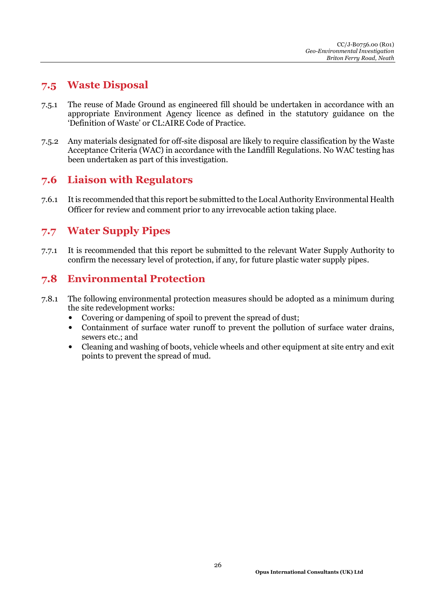### **7.5 Waste Disposal**

- 7.5.1 The reuse of Made Ground as engineered fill should be undertaken in accordance with an appropriate Environment Agency licence as defined in the statutory guidance on the 'Definition of Waste' or CL:AIRE Code of Practice.
- 7.5.2 Any materials designated for off-site disposal are likely to require classification by the Waste Acceptance Criteria (WAC) in accordance with the Landfill Regulations. No WAC testing has been undertaken as part of this investigation.

### **7.6 Liaison with Regulators**

7.6.1 It is recommended that this report be submitted to the Local Authority Environmental Health Officer for review and comment prior to any irrevocable action taking place.

### **7.7 Water Supply Pipes**

7.7.1 It is recommended that this report be submitted to the relevant Water Supply Authority to confirm the necessary level of protection, if any, for future plastic water supply pipes.

### **7.8 Environmental Protection**

- 7.8.1 The following environmental protection measures should be adopted as a minimum during the site redevelopment works:
	- Covering or dampening of spoil to prevent the spread of dust:
	- Containment of surface water runoff to prevent the pollution of surface water drains, sewers etc.; and
	- Cleaning and washing of boots, vehicle wheels and other equipment at site entry and exit points to prevent the spread of mud.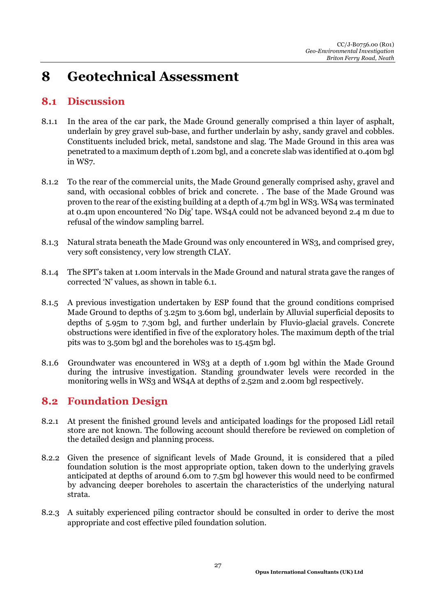## **8 Geotechnical Assessment**

### **8.1 Discussion**

- 8.1.1 In the area of the car park, the Made Ground generally comprised a thin layer of asphalt, underlain by grey gravel sub-base, and further underlain by ashy, sandy gravel and cobbles. Constituents included brick, metal, sandstone and slag. The Made Ground in this area was penetrated to a maximum depth of 1.20m bgl, and a concrete slab was identified at 0.40m bgl in WS7.
- 8.1.2 To the rear of the commercial units, the Made Ground generally comprised ashy, gravel and sand, with occasional cobbles of brick and concrete. . The base of the Made Ground was proven to the rear of the existing building at a depth of 4.7m bgl in WS3. WS4 was terminated at 0.4m upon encountered 'No Dig' tape. WS4A could not be advanced beyond 2.4 m due to refusal of the window sampling barrel.
- 8.1.3 Natural strata beneath the Made Ground was only encountered in WS3, and comprised grey, very soft consistency, very low strength CLAY.
- 8.1.4 The SPT's taken at 1.00m intervals in the Made Ground and natural strata gave the ranges of corrected 'N' values, as shown in table 6.1.
- 8.1.5 A previous investigation undertaken by ESP found that the ground conditions comprised Made Ground to depths of 3.25m to 3.60m bgl, underlain by Alluvial superficial deposits to depths of 5.95m to 7.30m bgl, and further underlain by Fluvio-glacial gravels. Concrete obstructions were identified in five of the exploratory holes. The maximum depth of the trial pits was to 3.50m bgl and the boreholes was to 15.45m bgl.
- 8.1.6 Groundwater was encountered in WS3 at a depth of 1.90m bgl within the Made Ground during the intrusive investigation. Standing groundwater levels were recorded in the monitoring wells in WS3 and WS4A at depths of 2.52m and 2.00m bgl respectively.

### **8.2 Foundation Design**

- 8.2.1 At present the finished ground levels and anticipated loadings for the proposed Lidl retail store are not known. The following account should therefore be reviewed on completion of the detailed design and planning process.
- 8.2.2 Given the presence of significant levels of Made Ground, it is considered that a piled foundation solution is the most appropriate option, taken down to the underlying gravels anticipated at depths of around 6.0m to 7.5m bgl however this would need to be confirmed by advancing deeper boreholes to ascertain the characteristics of the underlying natural strata.
- 8.2.3 A suitably experienced piling contractor should be consulted in order to derive the most appropriate and cost effective piled foundation solution.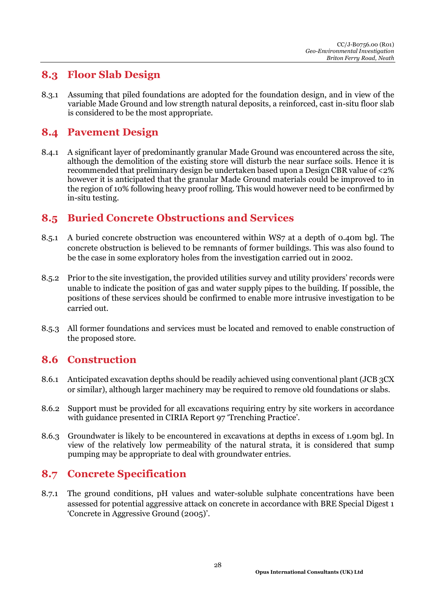### **8.3 Floor Slab Design**

8.3.1 Assuming that piled foundations are adopted for the foundation design, and in view of the variable Made Ground and low strength natural deposits, a reinforced, cast in-situ floor slab is considered to be the most appropriate.

#### **8.4 Pavement Design**

8.4.1 A significant layer of predominantly granular Made Ground was encountered across the site, although the demolition of the existing store will disturb the near surface soils. Hence it is recommended that preliminary design be undertaken based upon a Design CBR value of <2% however it is anticipated that the granular Made Ground materials could be improved to in the region of 10% following heavy proof rolling. This would however need to be confirmed by in-situ testing.

### **8.5 Buried Concrete Obstructions and Services**

- 8.5.1 A buried concrete obstruction was encountered within WS7 at a depth of 0.40m bgl. The concrete obstruction is believed to be remnants of former buildings. This was also found to be the case in some exploratory holes from the investigation carried out in 2002.
- 8.5.2 Prior to the site investigation, the provided utilities survey and utility providers' records were unable to indicate the position of gas and water supply pipes to the building. If possible, the positions of these services should be confirmed to enable more intrusive investigation to be carried out.
- 8.5.3 All former foundations and services must be located and removed to enable construction of the proposed store.

### **8.6 Construction**

- 8.6.1 Anticipated excavation depths should be readily achieved using conventional plant (JCB 3CX or similar), although larger machinery may be required to remove old foundations or slabs.
- 8.6.2 Support must be provided for all excavations requiring entry by site workers in accordance with guidance presented in CIRIA Report 97 'Trenching Practice'.
- 8.6.3 Groundwater is likely to be encountered in excavations at depths in excess of 1.90m bgl. In view of the relatively low permeability of the natural strata, it is considered that sump pumping may be appropriate to deal with groundwater entries.

### **8.7 Concrete Specification**

8.7.1 The ground conditions, pH values and water-soluble sulphate concentrations have been assessed for potential aggressive attack on concrete in accordance with BRE Special Digest 1 'Concrete in Aggressive Ground (2005)'.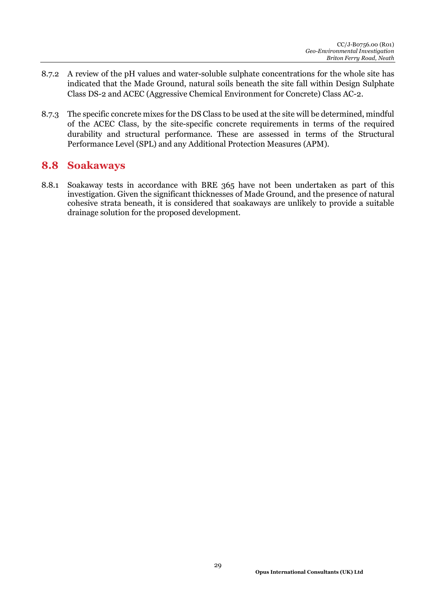- 8.7.2 A review of the pH values and water-soluble sulphate concentrations for the whole site has indicated that the Made Ground, natural soils beneath the site fall within Design Sulphate Class DS-2 and ACEC (Aggressive Chemical Environment for Concrete) Class AC-2.
- 8.7.3 The specific concrete mixes for the DS Class to be used at the site will be determined, mindful of the ACEC Class, by the site-specific concrete requirements in terms of the required durability and structural performance. These are assessed in terms of the Structural Performance Level (SPL) and any Additional Protection Measures (APM).

#### **8.8 Soakaways**

8.8.1 Soakaway tests in accordance with BRE 365 have not been undertaken as part of this investigation. Given the significant thicknesses of Made Ground, and the presence of natural cohesive strata beneath, it is considered that soakaways are unlikely to provide a suitable drainage solution for the proposed development.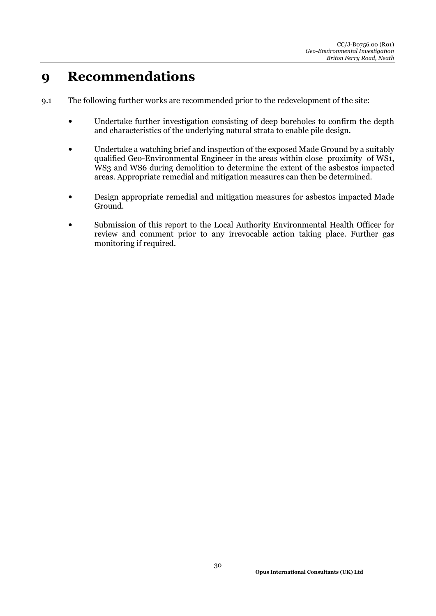## **9 Recommendations**

- 9.1 The following further works are recommended prior to the redevelopment of the site:
	- Undertake further investigation consisting of deep boreholes to confirm the depth and characteristics of the underlying natural strata to enable pile design.
	- Undertake a watching brief and inspection of the exposed Made Ground by a suitably qualified Geo-Environmental Engineer in the areas within close proximity of WS1, WS3 and WS6 during demolition to determine the extent of the asbestos impacted areas. Appropriate remedial and mitigation measures can then be determined.
	- Design appropriate remedial and mitigation measures for asbestos impacted Made Ground.
	- Submission of this report to the Local Authority Environmental Health Officer for review and comment prior to any irrevocable action taking place. Further gas monitoring if required.